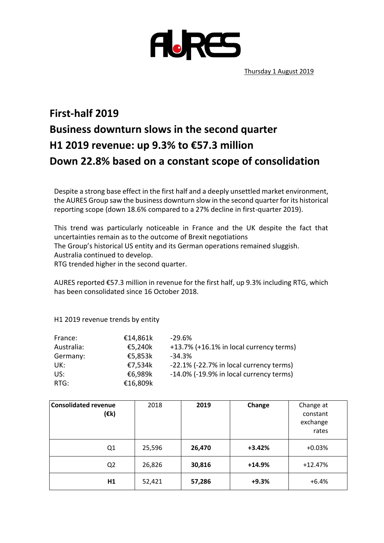

Thursday 1 August 2019

## **First-half 2019 Business downturn slows in the second quarter H1 2019 revenue: up 9.3% to €57.3 million Down 22.8% based on a constant scope of consolidation**

Despite a strong base effect in the first half and a deeply unsettled market environment, the AURES Group saw the business downturn slow in the second quarter for its historical reporting scope (down 18.6% compared to a 27% decline in first-quarter 2019).

This trend was particularly noticeable in France and the UK despite the fact that uncertainties remain as to the outcome of Brexit negotiations The Group's historical US entity and its German operations remained sluggish. Australia continued to develop. RTG trended higher in the second quarter.

AURES reported €57.3 million in revenue for the first half, up 9.3% including RTG, which has been consolidated since 16 October 2018.

H1 2019 revenue trends by entity

| France:    | €14,861k | $-29.6\%$                               |
|------------|----------|-----------------------------------------|
| Australia: | €5,240k  | +13.7% (+16.1% in local currency terms) |
| Germany:   | €5,853k  | $-34.3%$                                |
| UK:        | €7,534k  | -22.1% (-22.7% in local currency terms) |
| US:        | €6,989k  | -14.0% (-19.9% in local currency terms) |
| RTG:       | €16,809k |                                         |

| <b>Consolidated revenue</b><br>$(\varepsilon$ k) | 2018   | 2019   | Change   | Change at<br>constant<br>exchange<br>rates |
|--------------------------------------------------|--------|--------|----------|--------------------------------------------|
| Q1                                               | 25,596 | 26,470 | $+3.42%$ | $+0.03%$                                   |
| Q <sub>2</sub>                                   | 26,826 | 30,816 | $+14.9%$ | $+12.47%$                                  |
| H <sub>1</sub>                                   | 52,421 | 57,286 | $+9.3%$  | $+6.4%$                                    |